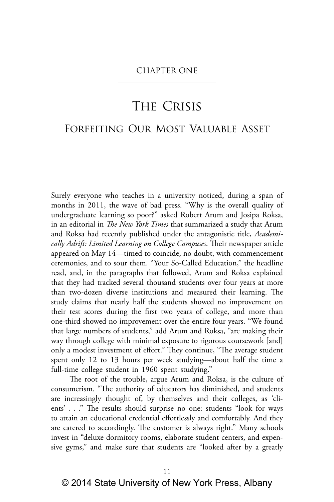# Forfeiting Our Most Valuable Asset

Surely everyone who teaches in a university noticed, during a span of months in 2011, the wave of bad press. "Why is the overall quality of undergraduate learning so poor?" asked Robert Arum and Josipa Roksa, in an editorial in *The New York Times* that summarized a study that Arum and Roksa had recently published under the antagonistic title, *Academically Adrift: Limited Learning on College Campuses*. Their newspaper article appeared on May 14—timed to coincide, no doubt, with commencement ceremonies, and to sour them. "Your So-Called Education," the headline read, and, in the paragraphs that followed, Arum and Roksa explained that they had tracked several thousand students over four years at more than two-dozen diverse institutions and measured their learning. The study claims that nearly half the students showed no improvement on their test scores during the first two years of college, and more than one-third showed no improvement over the entire four years. "We found that large numbers of students," add Arum and Roksa, "are making their way through college with minimal exposure to rigorous coursework [and] only a modest investment of effort." They continue, "The average student spent only 12 to 13 hours per week studying—about half the time a full-time college student in 1960 spent studying."

The root of the trouble, argue Arum and Roksa, is the culture of consumerism. "The authority of educators has diminished, and students are increasingly thought of, by themselves and their colleges, as 'clients' . . ." The results should surprise no one: students "look for ways to attain an educational credential effortlessly and comfortably. And they are catered to accordingly. The customer is always right." Many schools invest in "deluxe dormitory rooms, elaborate student centers, and expensive gyms," and make sure that students are "looked after by a greatly

© 2014 State University of New York Press, Albany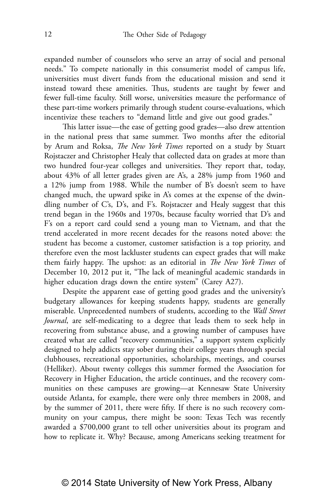expanded number of counselors who serve an array of social and personal needs." To compete nationally in this consumerist model of campus life, universities must divert funds from the educational mission and send it instead toward these amenities. Thus, students are taught by fewer and fewer full-time faculty. Still worse, universities measure the performance of these part-time workers primarily through student course-evaluations, which incentivize these teachers to "demand little and give out good grades."

This latter issue—the ease of getting good grades—also drew attention in the national press that same summer. Two months after the editorial by Arum and Roksa, *The New York Times* reported on a study by Stuart Rojstaczer and Christopher Healy that collected data on grades at more than two hundred four-year colleges and universities. They report that, today, about 43% of all letter grades given are A's, a 28% jump from 1960 and a 12% jump from 1988. While the number of B's doesn't seem to have changed much, the upward spike in A's comes at the expense of the dwindling number of C's, D's, and F's. Rojstaczer and Healy suggest that this trend began in the 1960s and 1970s, because faculty worried that D's and F's on a report card could send a young man to Vietnam, and that the trend accelerated in more recent decades for the reasons noted above: the student has become a customer, customer satisfaction is a top priority, and therefore even the most lackluster students can expect grades that will make them fairly happy. The upshot: as an editorial in *The New York Times* of December 10, 2012 put it, "The lack of meaningful academic standards in higher education drags down the entire system" (Carey A27).

Despite the apparent ease of getting good grades and the university's budgetary allowances for keeping students happy, students are generally miserable. Unprecedented numbers of students, according to the *Wall Street Journal*, are self-medicating to a degree that leads them to seek help in recovering from substance abuse, and a growing number of campuses have created what are called "recovery communities," a support system explicitly designed to help addicts stay sober during their college years through special clubhouses, recreational opportunities, scholarships, meetings, and courses (Helliker). About twenty colleges this summer formed the Association for Recovery in Higher Education, the article continues, and the recovery communities on these campuses are growing—at Kennesaw State University outside Atlanta, for example, there were only three members in 2008, and by the summer of 2011, there were fifty. If there is no such recovery community on your campus, there might be soon: Texas Tech was recently awarded a \$700,000 grant to tell other universities about its program and how to replicate it. Why? Because, among Americans seeking treatment for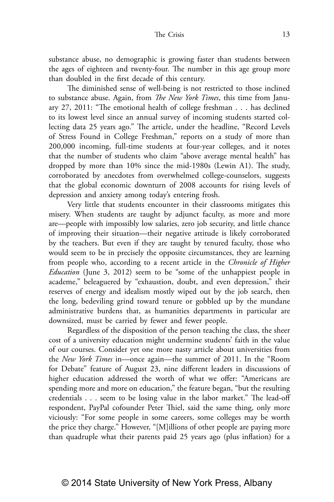substance abuse, no demographic is growing faster than students between the ages of eighteen and twenty-four. The number in this age group more than doubled in the first decade of this century.

The diminished sense of well-being is not restricted to those inclined to substance abuse. Again, from *The New York Times*, this time from January 27, 2011: "The emotional health of college freshman . . . has declined to its lowest level since an annual survey of incoming students started collecting data 25 years ago." The article, under the headline, "Record Levels of Stress Found in College Freshman," reports on a study of more than 200,000 incoming, full-time students at four-year colleges, and it notes that the number of students who claim "above average mental health" has dropped by more than 10% since the mid-1980s (Lewin A1). The study, corroborated by anecdotes from overwhelmed college-counselors, suggests that the global economic downturn of 2008 accounts for rising levels of depression and anxiety among today's entering frosh.

Very little that students encounter in their classrooms mitigates this misery. When students are taught by adjunct faculty, as more and more are—people with impossibly low salaries, zero job security, and little chance of improving their situation—their negative attitude is likely corroborated by the teachers. But even if they are taught by tenured faculty, those who would seem to be in precisely the opposite circumstances, they are learning from people who, according to a recent article in the *Chronicle of Higher Education* (June 3, 2012) seem to be "some of the unhappiest people in academe," beleaguered by "exhaustion, doubt, and even depression," their reserves of energy and idealism mostly wiped out by the job search, then the long, bedeviling grind toward tenure or gobbled up by the mundane administrative burdens that, as humanities departments in particular are downsized, must be carried by fewer and fewer people.

Regardless of the disposition of the person teaching the class, the sheer cost of a university education might undermine students' faith in the value of our courses. Consider yet one more nasty article about universities from the *New York Times* in—once again—the summer of 2011. In the "Room for Debate" feature of August 23, nine different leaders in discussions of higher education addressed the worth of what we offer: "Americans are spending more and more on education," the feature began, "but the resulting credentials . . . seem to be losing value in the labor market." The lead-off respondent, PayPal cofounder Peter Thiel, said the same thing, only more viciously: "For some people in some careers, some colleges may be worth the price they charge." However, "[M]illions of other people are paying more than quadruple what their parents paid 25 years ago (plus inflation) for a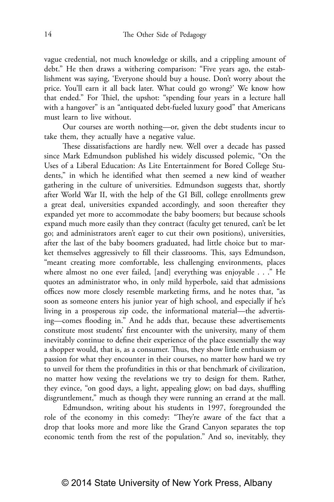vague credential, not much knowledge or skills, and a crippling amount of debt." He then draws a withering comparison: "Five years ago, the establishment was saying, 'Everyone should buy a house. Don't worry about the price. You'll earn it all back later. What could go wrong?' We know how that ended." For Thiel, the upshot: "spending four years in a lecture hall with a hangover" is an "antiquated debt-fueled luxury good" that Americans must learn to live without.

Our courses are worth nothing—or, given the debt students incur to take them, they actually have a negative value.

These dissatisfactions are hardly new. Well over a decade has passed since Mark Edmundson published his widely discussed polemic, "On the Uses of a Liberal Education: As Lite Entertainment for Bored College Students," in which he identified what then seemed a new kind of weather gathering in the culture of universities. Edmundson suggests that, shortly after World War II, with the help of the GI Bill, college enrollments grew a great deal, universities expanded accordingly, and soon thereafter they expanded yet more to accommodate the baby boomers; but because schools expand much more easily than they contract (faculty get tenured, can't be let go; and administrators aren't eager to cut their own positions), universities, after the last of the baby boomers graduated, had little choice but to market themselves aggressively to fill their classrooms. This, says Edmundson, "meant creating more comfortable, less challenging environments, places where almost no one ever failed, [and] everything was enjoyable . . ." He quotes an administrator who, in only mild hyperbole, said that admissions offices now more closely resemble marketing firms, and he notes that, "as soon as someone enters his junior year of high school, and especially if he's living in a prosperous zip code, the informational material—the advertising—comes flooding in." And he adds that, because these advertisements constitute most students' first encounter with the university, many of them inevitably continue to define their experience of the place essentially the way a shopper would, that is, as a consumer. Thus, they show little enthusiasm or passion for what they encounter in their courses, no matter how hard we try to unveil for them the profundities in this or that benchmark of civilization, no matter how vexing the revelations we try to design for them. Rather, they evince, "on good days, a light, appealing glow; on bad days, shuffling disgruntlement," much as though they were running an errand at the mall.

Edmundson, writing about his students in 1997, foregrounded the role of the economy in this comedy: "They're aware of the fact that a drop that looks more and more like the Grand Canyon separates the top economic tenth from the rest of the population." And so, inevitably, they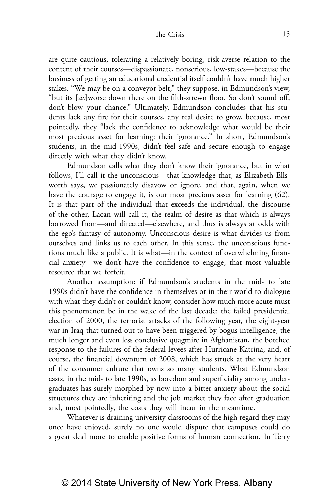are quite cautious, tolerating a relatively boring, risk-averse relation to the content of their courses—dispassionate, nonserious, low-stakes—because the business of getting an educational credential itself couldn't have much higher stakes. "We may be on a conveyor belt," they suppose, in Edmundson's view, "but its [*sic*]worse down there on the filth-strewn floor. So don't sound off, don't blow your chance." Ultimately, Edmundson concludes that his students lack any fire for their courses, any real desire to grow, because, most pointedly, they "lack the confidence to acknowledge what would be their most precious asset for learning: their ignorance." In short, Edmundson's students, in the mid-1990s, didn't feel safe and secure enough to engage directly with what they didn't know.

Edmundson calls what they don't know their ignorance, but in what follows, I'll call it the unconscious—that knowledge that, as Elizabeth Ellsworth says, we passionately disavow or ignore, and that, again, when we have the courage to engage it, is our most precious asset for learning (62). It is that part of the individual that exceeds the individual, the discourse of the other, Lacan will call it, the realm of desire as that which is always borrowed from—and directed—elsewhere, and thus is always at odds with the ego's fantasy of autonomy. Unconscious desire is what divides us from ourselves and links us to each other. In this sense, the unconscious functions much like a public. It is what—in the context of overwhelming financial anxiety—we don't have the confidence to engage, that most valuable resource that we forfeit.

Another assumption: if Edmundson's students in the mid- to late 1990s didn't have the confidence in themselves or in their world to dialogue with what they didn't or couldn't know, consider how much more acute must this phenomenon be in the wake of the last decade: the failed presidential election of 2000, the terrorist attacks of the following year, the eight-year war in Iraq that turned out to have been triggered by bogus intelligence, the much longer and even less conclusive quagmire in Afghanistan, the botched response to the failures of the federal levees after Hurricane Katrina, and, of course, the financial downturn of 2008, which has struck at the very heart of the consumer culture that owns so many students. What Edmundson casts, in the mid- to late 1990s, as boredom and superficiality among undergraduates has surely morphed by now into a bitter anxiety about the social structures they are inheriting and the job market they face after graduation and, most pointedly, the costs they will incur in the meantime.

Whatever is draining university classrooms of the high regard they may once have enjoyed, surely no one would dispute that campuses could do a great deal more to enable positive forms of human connection. In Terry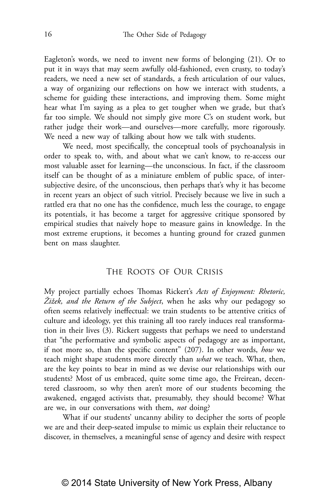Eagleton's words, we need to invent new forms of belonging (21). Or to put it in ways that may seem awfully old-fashioned, even crusty, to today's readers, we need a new set of standards, a fresh articulation of our values, a way of organizing our reflections on how we interact with students, a scheme for guiding these interactions, and improving them. Some might hear what I'm saying as a plea to get tougher when we grade, but that's far too simple. We should not simply give more C's on student work, but rather judge their work—and ourselves—more carefully, more rigorously. We need a new way of talking about how we talk with students.

We need, most specifically, the conceptual tools of psychoanalysis in order to speak to, with, and about what we can't know, to re-access our most valuable asset for learning—the unconscious. In fact, if the classroom itself can be thought of as a miniature emblem of public space, of intersubjective desire, of the unconscious, then perhaps that's why it has become in recent years an object of such vitriol. Precisely because we live in such a rattled era that no one has the confidence, much less the courage, to engage its potentials, it has become a target for aggressive critique sponsored by empirical studies that naively hope to measure gains in knowledge. In the most extreme eruptions, it becomes a hunting ground for crazed gunmen bent on mass slaughter.

### The Roots of Our Crisis

My project partially echoes Thomas Rickert's *Acts of Enjoyment: Rhetoric, Žižek, and the Return of the Subject*, when he asks why our pedagogy so often seems relatively ineffectual: we train students to be attentive critics of culture and ideology, yet this training all too rarely induces real transformation in their lives (3). Rickert suggests that perhaps we need to understand that "the performative and symbolic aspects of pedagogy are as important, if not more so, than the specific content" (207). In other words, *how* we teach might shape students more directly than *what* we teach. What, then, are the key points to bear in mind as we devise our relationships with our students? Most of us embraced, quite some time ago, the Freirean, decentered classroom, so why then aren't more of our students becoming the awakened, engaged activists that, presumably, they should become? What are we, in our conversations with them, *not* doing?

What if our students' uncanny ability to decipher the sorts of people we are and their deep-seated impulse to mimic us explain their reluctance to discover, in themselves, a meaningful sense of agency and desire with respect

## © 2014 State University of New York Press, Albany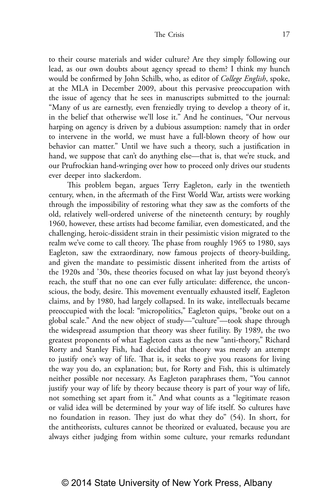to their course materials and wider culture? Are they simply following our lead, as our own doubts about agency spread to them? I think my hunch would be confirmed by John Schilb, who, as editor of *College English*, spoke, at the MLA in December 2009, about this pervasive preoccupation with the issue of agency that he sees in manuscripts submitted to the journal: "Many of us are earnestly, even frenziedly trying to develop a theory of it, in the belief that otherwise we'll lose it." And he continues, "Our nervous harping on agency is driven by a dubious assumption: namely that in order to intervene in the world, we must have a full-blown theory of how our behavior can matter." Until we have such a theory, such a justification in hand, we suppose that can't do anything else—that is, that we're stuck, and our Prufrockian hand-wringing over how to proceed only drives our students ever deeper into slackerdom.

This problem began, argues Terry Eagleton, early in the twentieth century, when, in the aftermath of the First World War, artists were working through the impossibility of restoring what they saw as the comforts of the old, relatively well-ordered universe of the nineteenth century; by roughly 1960, however, these artists had become familiar, even domesticated, and the challenging, heroic-dissident strain in their pessimistic vision migrated to the realm we've come to call theory. The phase from roughly 1965 to 1980, says Eagleton, saw the extraordinary, now famous projects of theory-building, and given the mandate to pessimistic dissent inherited from the artists of the 1920s and '30s, these theories focused on what lay just beyond theory's reach, the stuff that no one can ever fully articulate: difference, the unconscious, the body, desire. This movement eventually exhausted itself, Eagleton claims, and by 1980, had largely collapsed. In its wake, intellectuals became preoccupied with the local: "micropolitics," Eagleton quips, "broke out on a global scale." And the new object of study—"culture"—took shape through the widespread assumption that theory was sheer futility. By 1989, the two greatest proponents of what Eagleton casts as the new "anti-theory," Richard Rorty and Stanley Fish, had decided that theory was merely an attempt to justify one's way of life. That is, it seeks to give you reasons for living the way you do, an explanation; but, for Rorty and Fish, this is ultimately neither possible nor necessary. As Eagleton paraphrases them, "You cannot justify your way of life by theory because theory is part of your way of life, not something set apart from it." And what counts as a "legitimate reason or valid idea will be determined by your way of life itself. So cultures have no foundation in reason. They just do what they do" (54). In short, for the antitheorists, cultures cannot be theorized or evaluated, because you are always either judging from within some culture, your remarks redundant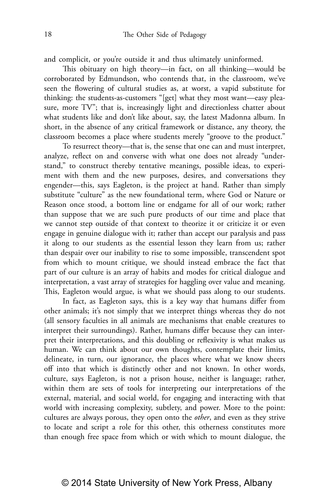and complicit, or you're outside it and thus ultimately uninformed.

This obituary on high theory—in fact, on all thinking—would be corroborated by Edmundson, who contends that, in the classroom, we've seen the flowering of cultural studies as, at worst, a vapid substitute for thinking: the students-as-customers "[get] what they most want—easy pleasure, more TV"; that is, increasingly light and directionless chatter about what students like and don't like about, say, the latest Madonna album. In short, in the absence of any critical framework or distance, any theory, the classroom becomes a place where students merely "groove to the product."

To resurrect theory—that is, the sense that one can and must interpret, analyze, reflect on and converse with what one does not already "understand," to construct thereby tentative meanings, possible ideas, to experiment with them and the new purposes, desires, and conversations they engender—this, says Eagleton, is the project at hand. Rather than simply substitute "culture" as the new foundational term, where God or Nature or Reason once stood, a bottom line or endgame for all of our work; rather than suppose that we are such pure products of our time and place that we cannot step outside of that context to theorize it or criticize it or even engage in genuine dialogue with it; rather than accept our paralysis and pass it along to our students as the essential lesson they learn from us; rather than despair over our inability to rise to some impossible, transcendent spot from which to mount critique, we should instead embrace the fact that part of our culture is an array of habits and modes for critical dialogue and interpretation, a vast array of strategies for haggling over value and meaning. This, Eagleton would argue, is what we should pass along to our students.

In fact, as Eagleton says, this is a key way that humans differ from other animals; it's not simply that we interpret things whereas they do not (all sensory faculties in all animals are mechanisms that enable creatures to interpret their surroundings). Rather, humans differ because they can interpret their interpretations, and this doubling or reflexivity is what makes us human. We can think about our own thoughts, contemplate their limits, delineate, in turn, our ignorance, the places where what we know sheers off into that which is distinctly other and not known. In other words, culture, says Eagleton, is not a prison house, neither is language; rather, within them are sets of tools for interpreting our interpretations of the external, material, and social world, for engaging and interacting with that world with increasing complexity, subtlety, and power. More to the point: cultures are always porous, they open onto the *other*, and even as they strive to locate and script a role for this other, this otherness constitutes more than enough free space from which or with which to mount dialogue, the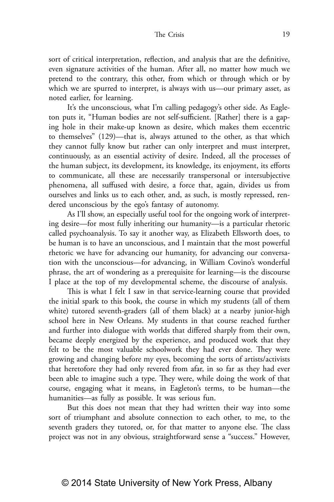sort of critical interpretation, reflection, and analysis that are the definitive, even signature activities of the human. After all, no matter how much we pretend to the contrary, this other, from which or through which or by which we are spurred to interpret, is always with us—our primary asset, as noted earlier, for learning.

It's the unconscious, what I'm calling pedagogy's other side. As Eagleton puts it, "Human bodies are not self-sufficient. [Rather] there is a gaping hole in their make-up known as desire, which makes them eccentric to themselves" (129)—that is, always attuned to the other, as that which they cannot fully know but rather can only interpret and must interpret, continuously, as an essential activity of desire. Indeed, all the processes of the human subject, its development, its knowledge, its enjoyment, its efforts to communicate, all these are necessarily transpersonal or intersubjective phenomena, all suffused with desire, a force that, again, divides us from ourselves and links us to each other, and, as such, is mostly repressed, rendered unconscious by the ego's fantasy of autonomy.

As I'll show, an especially useful tool for the ongoing work of interpreting desire—for most fully inheriting our humanity—is a particular rhetoric called psychoanalysis. To say it another way, as Elizabeth Ellsworth does, to be human is to have an unconscious, and I maintain that the most powerful rhetoric we have for advancing our humanity, for advancing our conversation with the unconscious—for advancing, in William Covino's wonderful phrase, the art of wondering as a prerequisite for learning—is the discourse I place at the top of my developmental scheme, the discourse of analysis.

This is what I felt I saw in that service-learning course that provided the initial spark to this book, the course in which my students (all of them white) tutored seventh-graders (all of them black) at a nearby junior-high school here in New Orleans. My students in that course reached further and further into dialogue with worlds that differed sharply from their own, became deeply energized by the experience, and produced work that they felt to be the most valuable schoolwork they had ever done. They were growing and changing before my eyes, becoming the sorts of artists/activists that heretofore they had only revered from afar, in so far as they had ever been able to imagine such a type. They were, while doing the work of that course, engaging what it means, in Eagleton's terms, to be human—the humanities—as fully as possible. It was serious fun.

But this does not mean that they had written their way into some sort of triumphant and absolute connection to each other, to me, to the seventh graders they tutored, or, for that matter to anyone else. The class project was not in any obvious, straightforward sense a "success." However,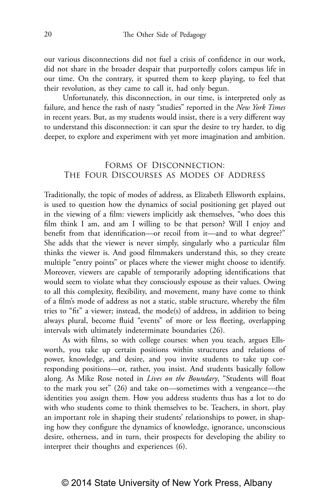our various disconnections did not fuel a crisis of confidence in our work, did not share in the broader despair that purportedly colors campus life in our time. On the contrary, it spurred them to keep playing, to feel that their revolution, as they came to call it, had only begun.

Unfortunately, this disconnection, in our time, is interpreted only as failure, and hence the rash of nasty "studies" reported in the *New York Times* in recent years. But, as my students would insist, there is a very different way to understand this disconnection: it can spur the desire to try harder, to dig deeper, to explore and experiment with yet more imagination and ambition.

### Forms of Disconnection: The Four Discourses as Modes of Address

Traditionally, the topic of modes of address, as Elizabeth Ellsworth explains, is used to question how the dynamics of social positioning get played out in the viewing of a film: viewers implicitly ask themselves, "who does this film think I am, and am I willing to be that person? Will I enjoy and benefit from that identification—or recoil from it—and to what degree?" She adds that the viewer is never simply, singularly who a particular film thinks the viewer is. And good filmmakers understand this, so they create multiple "entry points" or places where the viewer might choose to identify. Moreover, viewers are capable of temporarily adopting identifications that would seem to violate what they consciously espouse as their values. Owing to all this complexity, flexibility, and movement, many have come to think of a film's mode of address as not a static, stable structure, whereby the film tries to "fit" a viewer; instead, the mode(s) of address, in addition to being always plural, become fluid "events" of more or less fleeting, overlapping intervals with ultimately indeterminate boundaries (26).

As with films, so with college courses: when you teach, argues Ellsworth, you take up certain positions within structures and relations of power, knowledge, and desire, and you invite students to take up corresponding positions—or, rather, you insist. And students basically follow along. As Mike Rose noted in *Lives on the Boundary*, "Students will float to the mark you set" (26) and take on—sometimes with a vengeance—the identities you assign them. How you address students thus has a lot to do with who students come to think themselves to be. Teachers, in short, play an important role in shaping their students' relationships to power, in shaping how they configure the dynamics of knowledge, ignorance, unconscious desire, otherness, and in turn, their prospects for developing the ability to interpret their thoughts and experiences (6).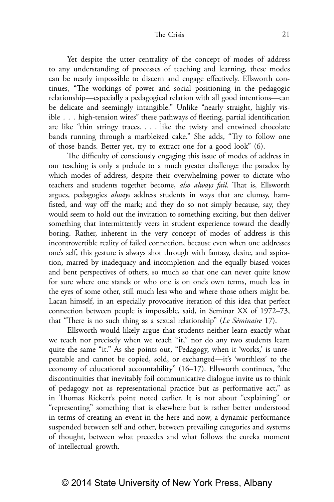Yet despite the utter centrality of the concept of modes of address to any understanding of processes of teaching and learning, these modes can be nearly impossible to discern and engage effectively. Ellsworth continues, "The workings of power and social positioning in the pedagogic relationship—especially a pedagogical relation with all good intentions—can be delicate and seemingly intangible." Unlike "nearly straight, highly visible . . . high-tension wires" these pathways of fleeting, partial identification are like "thin stringy traces. . . . like the twisty and entwined chocolate bands running through a marbleized cake." She adds, "Try to follow one of those bands. Better yet, try to extract one for a good look" (6).

The difficulty of consciously engaging this issue of modes of address in our teaching is only a prelude to a much greater challenge: the paradox by which modes of address, despite their overwhelming power to dictate who teachers and students together become, *also always fail*. That is, Ellsworth argues, pedagogies *always* address students in ways that are clumsy, hamfisted, and way off the mark; and they do so not simply because, say, they would seem to hold out the invitation to something exciting, but then deliver something that intermittently veers in student experience toward the deadly boring. Rather, inherent in the very concept of modes of address is this incontrovertible reality of failed connection, because even when one addresses one's self, this gesture is always shot through with fantasy, desire, and aspiration, marred by inadequacy and incompletion and the equally biased voices and bent perspectives of others, so much so that one can never quite know for sure where one stands or who one is on one's own terms, much less in the eyes of some other, still much less who and where those others might be. Lacan himself, in an especially provocative iteration of this idea that perfect connection between people is impossible, said, in Seminar XX of 1972–73, that "There is no such thing as a sexual relationship" (*Le Séminaire* 17).

Ellsworth would likely argue that students neither learn exactly what we teach nor precisely when we teach "it," nor do any two students learn quite the same "it." As she points out, "Pedagogy, when it 'works,' is unrepeatable and cannot be copied, sold, or exchanged—it's 'worthless' to the economy of educational accountability" (16–17). Ellsworth continues, "the discontinuities that inevitably foil communicative dialogue invite us to think of pedagogy not as representational practice but as performative act," as in Thomas Rickert's point noted earlier. It is not about "explaining" or "representing" something that is elsewhere but is rather better understood in terms of creating an event in the here and now, a dynamic performance suspended between self and other, between prevailing categories and systems of thought, between what precedes and what follows the eureka moment of intellectual growth.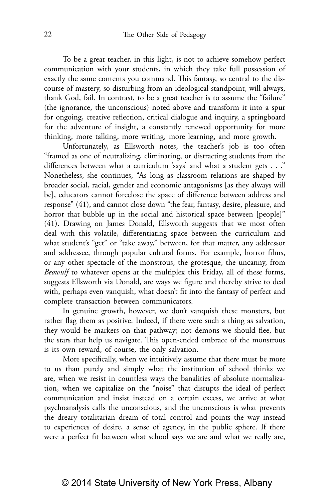To be a great teacher, in this light, is not to achieve somehow perfect communication with your students, in which they take full possession of exactly the same contents you command. This fantasy, so central to the discourse of mastery, so disturbing from an ideological standpoint, will always, thank God, fail. In contrast, to be a great teacher is to assume the "failure" (the ignorance, the unconscious) noted above and transform it into a spur for ongoing, creative reflection, critical dialogue and inquiry, a springboard for the adventure of insight, a constantly renewed opportunity for more thinking, more talking, more writing, more learning, and more growth.

Unfortunately, as Ellsworth notes, the teacher's job is too often "framed as one of neutralizing, eliminating, or distracting students from the differences between what a curriculum 'says' and what a student gets . . ." Nonetheless, she continues, "As long as classroom relations are shaped by broader social, racial, gender and economic antagonisms [as they always will be], educators cannot foreclose the space of difference between address and response" (41), and cannot close down "the fear, fantasy, desire, pleasure, and horror that bubble up in the social and historical space between [people]" (41). Drawing on James Donald, Ellsworth suggests that we most often deal with this volatile, differentiating space between the curriculum and what student's "get" or "take away," between, for that matter, any addressor and addressee, through popular cultural forms. For example, horror films, or any other spectacle of the monstrous, the grotesque, the uncanny, from *Beowulf* to whatever opens at the multiplex this Friday, all of these forms, suggests Ellsworth via Donald, are ways we figure and thereby strive to deal with, perhaps even vanquish, what doesn't fit into the fantasy of perfect and complete transaction between communicators.

In genuine growth, however, we don't vanquish these monsters, but rather flag them as positive. Indeed, if there were such a thing as salvation, they would be markers on that pathway; not demons we should flee, but the stars that help us navigate. This open-ended embrace of the monstrous is its own reward, of course, the only salvation.

More specifically, when we intuitively assume that there must be more to us than purely and simply what the institution of school thinks we are, when we resist in countless ways the banalities of absolute normalization, when we capitalize on the "noise" that disrupts the ideal of perfect communication and insist instead on a certain excess, we arrive at what psychoanalysis calls the unconscious, and the unconscious is what prevents the dreary totalitarian dream of total control and points the way instead to experiences of desire, a sense of agency, in the public sphere. If there were a perfect fit between what school says we are and what we really are,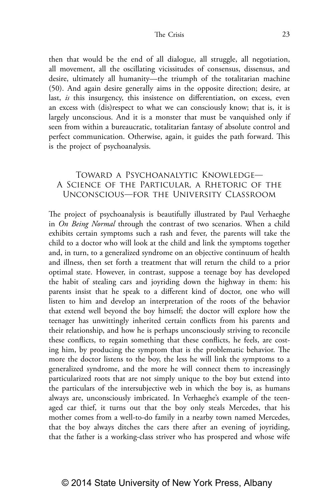then that would be the end of all dialogue, all struggle, all negotiation, all movement, all the oscillating vicissitudes of consensus, dissensus, and desire, ultimately all humanity—the triumph of the totalitarian machine (50). And again desire generally aims in the opposite direction; desire, at last, *is* this insurgency, this insistence on differentiation, on excess, even an excess with (dis)respect to what we can consciously know; that is, it is largely unconscious. And it is a monster that must be vanquished only if seen from within a bureaucratic, totalitarian fantasy of absolute control and perfect communication. Otherwise, again, it guides the path forward. This is the project of psychoanalysis.

### Toward a Psychoanalytic Knowledge— A Science of the Particular, a Rhetoric of the Unconscious—for the University Classroom

The project of psychoanalysis is beautifully illustrated by Paul Verhaeghe in *On Being Normal* through the contrast of two scenarios. When a child exhibits certain symptoms such a rash and fever, the parents will take the child to a doctor who will look at the child and link the symptoms together and, in turn, to a generalized syndrome on an objective continuum of health and illness, then set forth a treatment that will return the child to a prior optimal state. However, in contrast, suppose a teenage boy has developed the habit of stealing cars and joyriding down the highway in them: his parents insist that he speak to a different kind of doctor, one who will listen to him and develop an interpretation of the roots of the behavior that extend well beyond the boy himself; the doctor will explore how the teenager has unwittingly inherited certain conflicts from his parents and their relationship, and how he is perhaps unconsciously striving to reconcile these conflicts, to regain something that these conflicts, he feels, are costing him, by producing the symptom that is the problematic behavior. The more the doctor listens to the boy, the less he will link the symptoms to a generalized syndrome, and the more he will connect them to increasingly particularized roots that are not simply unique to the boy but extend into the particulars of the intersubjective web in which the boy is, as humans always are, unconsciously imbricated. In Verhaeghe's example of the teenaged car thief, it turns out that the boy only steals Mercedes, that his mother comes from a well-to-do family in a nearby town named Mercedes, that the boy always ditches the cars there after an evening of joyriding, that the father is a working-class striver who has prospered and whose wife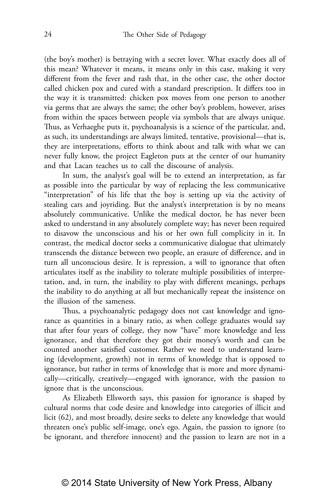(the boy's mother) is betraying with a secret lover. What exactly does all of this mean? Whatever it means, it means only in this case, making it very different from the fever and rash that, in the other case, the other doctor called chicken pox and cured with a standard prescription. It differs too in the way it is transmitted: chicken pox moves from one person to another via germs that are always the same; the other boy's problem, however, arises from within the spaces between people via symbols that are always unique. Thus, as Verhaeghe puts it, psychoanalysis is a science of the particular, and, as such, its understandings are always limited, tentative, provisional—that is, they are interpretations, efforts to think about and talk with what we can never fully know, the project Eagleton puts at the center of our humanity and that Lacan teaches us to call the discourse of analysis.

In sum, the analyst's goal will be to extend an interpretation, as far as possible into the particular by way of replacing the less communicative "interpretation" of his life that the boy is setting up via the activity of stealing cars and joyriding. But the analyst's interpretation is by no means absolutely communicative. Unlike the medical doctor, he has never been asked to understand in any absolutely complete way; has never been required to disavow the unconscious and his or her own full complicity in it. In contrast, the medical doctor seeks a communicative dialogue that ultimately transcends the distance between two people, an erasure of difference, and in turn all unconscious desire. It is repression, a will to ignorance that often articulates itself as the inability to tolerate multiple possibilities of interpretation, and, in turn, the inability to play with different meanings, perhaps the inability to do anything at all but mechanically repeat the insistence on the illusion of the sameness.

Thus, a psychoanalytic pedagogy does not cast knowledge and ignorance as quantities in a binary ratio, as when college graduates would say that after four years of college, they now "have" more knowledge and less ignorance, and that therefore they got their money's worth and can be counted another satisfied customer. Rather we need to understand learning (development, growth) not in terms of knowledge that is opposed to ignorance, but rather in terms of knowledge that is more and more dynamically—critically, creatively—engaged with ignorance, with the passion to ignore that is the unconscious.

As Elizabeth Ellsworth says, this passion for ignorance is shaped by cultural norms that code desire and knowledge into categories of illicit and licit (62), and most broadly, desire seeks to delete any knowledge that would threaten one's public self-image, one's ego. Again, the passion to ignore (to be ignorant, and therefore innocent) and the passion to learn are not in a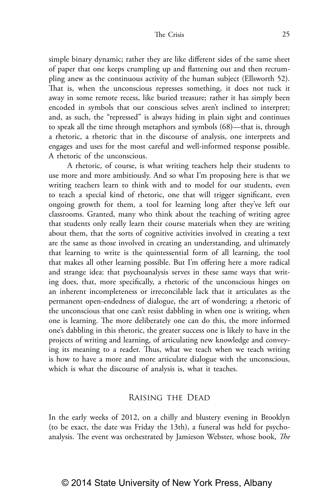simple binary dynamic; rather they are like different sides of the same sheet of paper that one keeps crumpling up and flattening out and then recrumpling anew as the continuous activity of the human subject (Ellsworth 52). That is, when the unconscious represses something, it does not tuck it away in some remote recess, like buried treasure; rather it has simply been encoded in symbols that our conscious selves aren't inclined to interpret; and, as such, the "repressed" is always hiding in plain sight and continues to speak all the time through metaphors and symbols (68)—that is, through a rhetoric, a rhetoric that in the discourse of analysis, one interprets and engages and uses for the most careful and well-informed response possible. A rhetoric of the unconscious.

A rhetoric, of course, is what writing teachers help their students to use more and more ambitiously. And so what I'm proposing here is that we writing teachers learn to think with and to model for our students, even to teach a special kind of rhetoric, one that will trigger significant, even ongoing growth for them, a tool for learning long after they've left our classrooms. Granted, many who think about the teaching of writing agree that students only really learn their course materials when they are writing about them, that the sorts of cognitive activities involved in creating a text are the same as those involved in creating an understanding, and ultimately that learning to write is the quintessential form of all learning, the tool that makes all other learning possible. But I'm offering here a more radical and strange idea: that psychoanalysis serves in these same ways that writing does, that, more specifically, a rhetoric of the unconscious hinges on an inherent incompleteness or irreconcilable lack that it articulates as the permanent open-endedness of dialogue, the art of wondering; a rhetoric of the unconscious that one can't resist dabbling in when one is writing, when one is learning. The more deliberately one can do this, the more informed one's dabbling in this rhetoric, the greater success one is likely to have in the projects of writing and learning, of articulating new knowledge and conveying its meaning to a reader. Thus, what we teach when we teach writing is how to have a more and more articulate dialogue with the unconscious, which is what the discourse of analysis is, what it teaches.

### Raising the Dead

In the early weeks of 2012, on a chilly and blustery evening in Brooklyn (to be exact, the date was Friday the 13th), a funeral was held for psychoanalysis. The event was orchestrated by Jamieson Webster, whose book, *The* 

### © 2014 State University of New York Press, Albany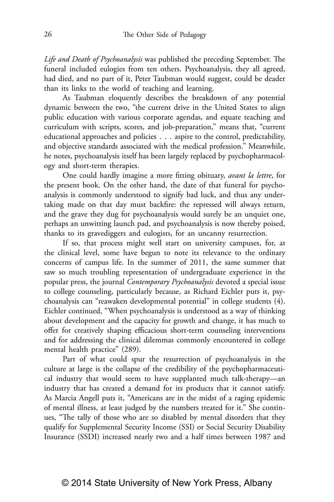*Life and Death of Psychoanalysis* was published the preceding September. The funeral included eulogies from ten others. Psychoanalysis, they all agreed, had died, and no part of it, Peter Taubman would suggest, could be deader than its links to the world of teaching and learning.

As Taubman eloquently describes the breakdown of any potential dynamic between the two, "the current drive in the United States to align public education with various corporate agendas, and equate teaching and curriculum with scripts, scores, and job-preparation," means that, "current educational approaches and policies . . . aspire to the control, predictability, and objective standards associated with the medical profession." Meanwhile, he notes, psychoanalysis itself has been largely replaced by psychopharmacology and short-term therapies.

One could hardly imagine a more fitting obituary, *avant la lettre*, for the present book. On the other hand, the date of that funeral for psychoanalysis is commonly understood to signify bad luck, and thus any undertaking made on that day must backfire: the repressed will always return, and the grave they dug for psychoanalysis would surely be an unquiet one, perhaps an unwitting launch pad, and psychoanalysis is now thereby poised, thanks to its gravediggers and eulogists, for an uncanny resurrection.

If so, that process might well start on university campuses, for, at the clinical level, some have begun to note its relevance to the ordinary concerns of campus life. In the summer of 2011, the same summer that saw so much troubling representation of undergraduate experience in the popular press, the journal *Contemporary Psychoanalysis* devoted a special issue to college counseling, particularly because, as Richard Eichler puts it, psychoanalysis can "reawaken developmental potential" in college students (4). Eichler continued, "When psychoanalysis is understood as a way of thinking about development and the capacity for growth and change, it has much to offer for creatively shaping efficacious short-term counseling interventions and for addressing the clinical dilemmas commonly encountered in college mental health practice" (289).

Part of what could spur the resurrection of psychoanalysis in the culture at large is the collapse of the credibility of the psychopharmaceutical industry that would seem to have supplanted much talk-therapy—an industry that has created a demand for its products that it cannot satisfy. As Marcia Angell puts it, "Americans are in the midst of a raging epidemic of mental illness, at least judged by the numbers treated for it." She continues, "The tally of those who are so disabled by mental disorders that they qualify for Supplemental Security Income (SSI) or Social Security Disability Insurance (SSDI) increased nearly two and a half times between 1987 and